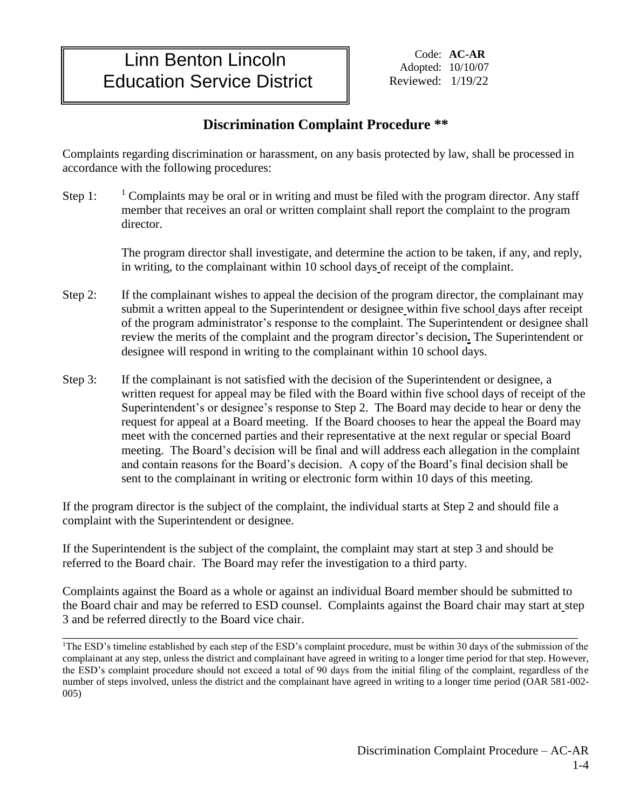## Linn Benton Lincoln Education Service District

Code: **AC-AR**  Adopted: 10/10/07 Reviewed: 1/19/22

## **Discrimination Complaint Procedure \*\***

Complaints regarding discrimination or harassment, on any basis protected by law, shall be processed in accordance with the following procedures:

Step 1:  $\frac{1}{1}$  Complaints may be oral or in writing and must be filed with the program director. Any staff member that receives an oral or written complaint shall report the complaint to the program director.

> The program director shall investigate, and determine the action to be taken, if any, and reply, in writing, to the complainant within 10 school days of receipt of the complaint.

- Step 2: If the complainant wishes to appeal the decision of the program director, the complainant may submit a written appeal to the Superintendent or designee within five school days after receipt of the program administrator's response to the complaint. The Superintendent or designee shall review the merits of the complaint and the program director's decision**.** The Superintendent or designee will respond in writing to the complainant within 10 school days.
- Step 3: If the complainant is not satisfied with the decision of the Superintendent or designee, a written request for appeal may be filed with the Board within five school days of receipt of the Superintendent's or designee's response to Step 2. The Board may decide to hear or deny the request for appeal at a Board meeting. If the Board chooses to hear the appeal the Board may meet with the concerned parties and their representative at the next regular or special Board meeting. The Board's decision will be final and will address each allegation in the complaint and contain reasons for the Board's decision. A copy of the Board's final decision shall be sent to the complainant in writing or electronic form within 10 days of this meeting.

If the program director is the subject of the complaint, the individual starts at Step 2 and should file a complaint with the Superintendent or designee.

If the Superintendent is the subject of the complaint, the complaint may start at step 3 and should be referred to the Board chair. The Board may refer the investigation to a third party.

Complaints against the Board as a whole or against an individual Board member should be submitted to the Board chair and may be referred to ESD counsel. Complaints against the Board chair may start at step 3 and be referred directly to the Board vice chair.

\_\_\_\_\_\_\_\_\_\_\_\_\_\_\_\_\_\_\_\_\_\_\_\_\_\_\_\_\_\_\_\_\_\_\_\_\_\_\_\_\_\_\_\_\_\_\_\_\_\_\_\_\_\_\_\_\_\_\_\_\_\_\_\_\_\_\_\_\_\_\_\_\_\_\_\_\_\_\_\_\_\_\_\_

<sup>&</sup>lt;sup>1</sup>The ESD's timeline established by each step of the ESD's complaint procedure, must be within 30 days of the submission of the complainant at any step, unless the district and complainant have agreed in writing to a longer time period for that step. However, the ESD's complaint procedure should not exceed a total of 90 days from the initial filing of the complaint, regardless of the number of steps involved, unless the district and the complainant have agreed in writing to a longer time period (OAR 581-002- 005)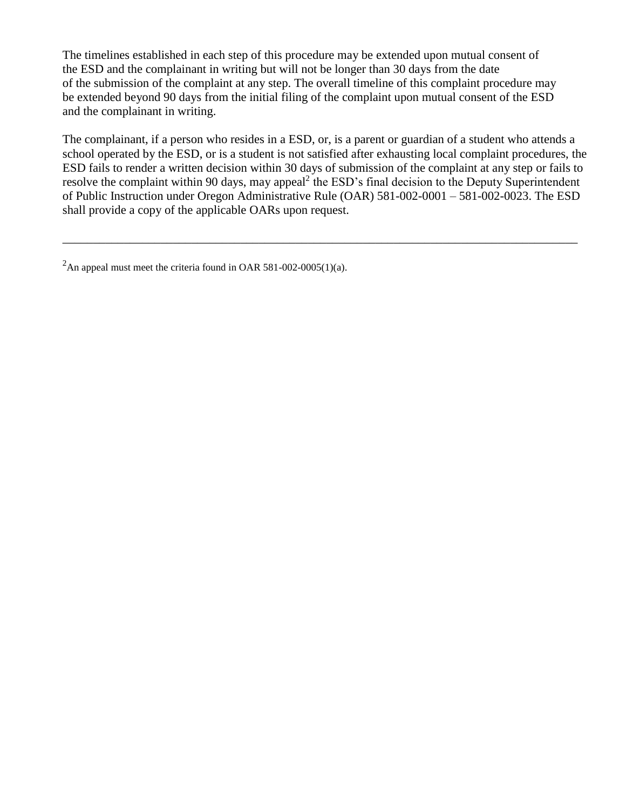The timelines established in each step of this procedure may be extended upon mutual consent of the ESD and the complainant in writing but will not be longer than 30 days from the date of the submission of the complaint at any step. The overall timeline of this complaint procedure may be extended beyond 90 days from the initial filing of the complaint upon mutual consent of the ESD and the complainant in writing.

The complainant, if a person who resides in a ESD, or, is a parent or guardian of a student who attends a school operated by the ESD, or is a student is not satisfied after exhausting local complaint procedures, the ESD fails to render a written decision within 30 days of submission of the complaint at any step or fails to resolve the complaint within 90 days, may appeal<sup>2</sup> the ESD's final decision to the Deputy Superintendent of Public Instruction under Oregon Administrative Rule (OAR) 581-002-0001 – 581-002-0023. The ESD shall provide a copy of the applicable OARs upon request.

\_\_\_\_\_\_\_\_\_\_\_\_\_\_\_\_\_\_\_\_\_\_\_\_\_\_\_\_\_\_\_\_\_\_\_\_\_\_\_\_\_\_\_\_\_\_\_\_\_\_\_\_\_\_\_\_\_\_\_\_\_\_\_\_\_\_\_\_\_\_\_\_\_\_\_\_\_\_\_\_\_\_\_\_

<sup>&</sup>lt;sup>2</sup>An appeal must meet the criteria found in OAR 581-002-0005(1)(a).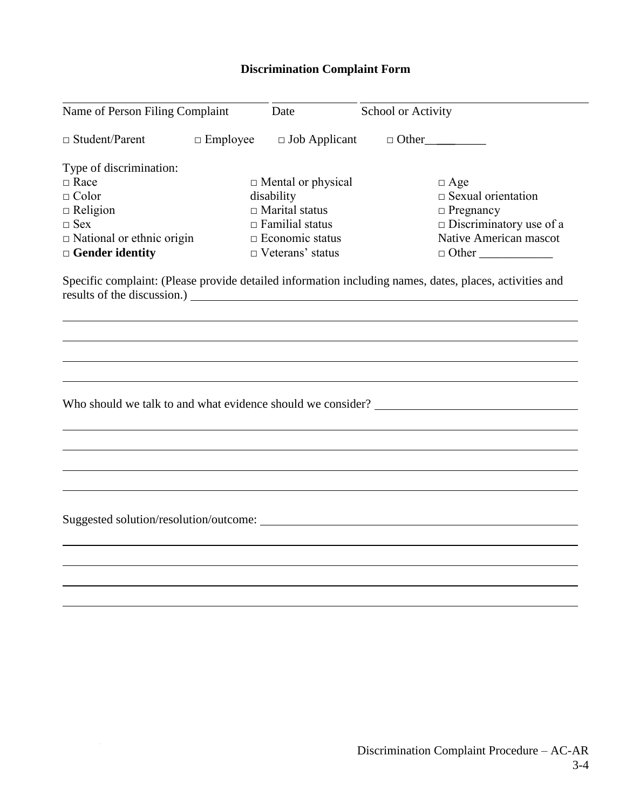## **Discrimination Complaint Form**

| Name of Person Filing Complaint  |                 | Date                      | School or Activity                                                                                      |
|----------------------------------|-----------------|---------------------------|---------------------------------------------------------------------------------------------------------|
| $\Box$ Student/Parent            | $\Box$ Employee | $\Box$ Job Applicant      | $\Box$ Other                                                                                            |
| Type of discrimination:          |                 |                           |                                                                                                         |
| $\Box$ Race                      |                 | $\Box$ Mental or physical | $\Box$ Age                                                                                              |
| $\Box$ Color                     |                 | disability                | $\Box$ Sexual orientation                                                                               |
| $\Box$ Religion                  |                 | $\Box$ Marital status     | $\Box$ Pregnancy                                                                                        |
| $\Box$ Sex                       |                 | $\Box$ Familial status    | $\square$ Discriminatory use of a                                                                       |
| $\Box$ National or ethnic origin |                 | $\Box$ Economic status    | Native American mascot                                                                                  |
| $\Box$ Gender identity           |                 | $\Box$ Veterans' status   | $\Box$ Other                                                                                            |
|                                  |                 |                           | Specific complaint: (Please provide detailed information including names, dates, places, activities and |
|                                  |                 |                           |                                                                                                         |
|                                  |                 |                           |                                                                                                         |
|                                  |                 |                           |                                                                                                         |
|                                  |                 |                           |                                                                                                         |
|                                  |                 |                           |                                                                                                         |
|                                  |                 |                           |                                                                                                         |
|                                  |                 |                           |                                                                                                         |
|                                  |                 |                           |                                                                                                         |
|                                  |                 |                           |                                                                                                         |
|                                  |                 |                           |                                                                                                         |
|                                  |                 |                           |                                                                                                         |
|                                  |                 |                           |                                                                                                         |

 $\label{eq:2.1} \frac{1}{\sqrt{2}}\int_{\mathbb{R}^3}\frac{1}{\sqrt{2}}\left(\frac{1}{\sqrt{2}}\right)^2\frac{1}{\sqrt{2}}\left(\frac{1}{\sqrt{2}}\right)^2\frac{1}{\sqrt{2}}\left(\frac{1}{\sqrt{2}}\right)^2.$